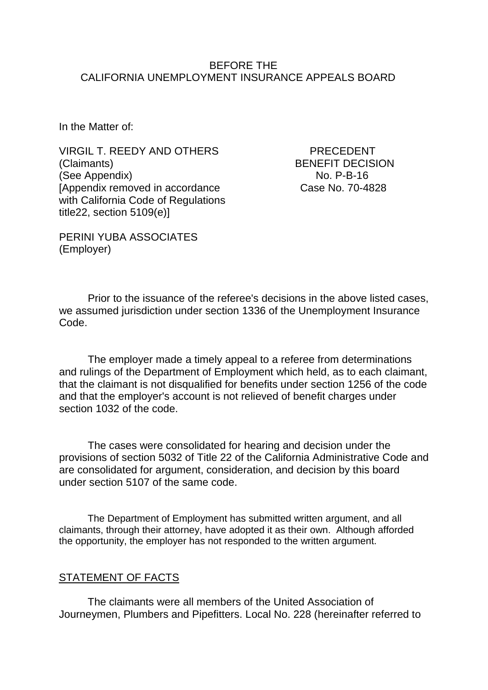#### BEFORE THE CALIFORNIA UNEMPLOYMENT INSURANCE APPEALS BOARD

In the Matter of:

VIRGIL T. REEDY AND OTHERS PRECEDENT (Claimants) BENEFIT DECISION (See Appendix) No. P-B-16 [Appendix removed in accordance Case No. 70-4828] with California Code of Regulations title22, section 5109(e)]

PERINI YUBA ASSOCIATES (Employer)

Prior to the issuance of the referee's decisions in the above listed cases, we assumed jurisdiction under section 1336 of the Unemployment Insurance Code.

The employer made a timely appeal to a referee from determinations and rulings of the Department of Employment which held, as to each claimant, that the claimant is not disqualified for benefits under section 1256 of the code and that the employer's account is not relieved of benefit charges under section 1032 of the code.

The cases were consolidated for hearing and decision under the provisions of section 5032 of Title 22 of the California Administrative Code and are consolidated for argument, consideration, and decision by this board under section 5107 of the same code.

The Department of Employment has submitted written argument, and all claimants, through their attorney, have adopted it as their own. Although afforded the opportunity, the employer has not responded to the written argument.

### STATEMENT OF FACTS

The claimants were all members of the United Association of Journeymen, Plumbers and Pipefitters. Local No. 228 (hereinafter referred to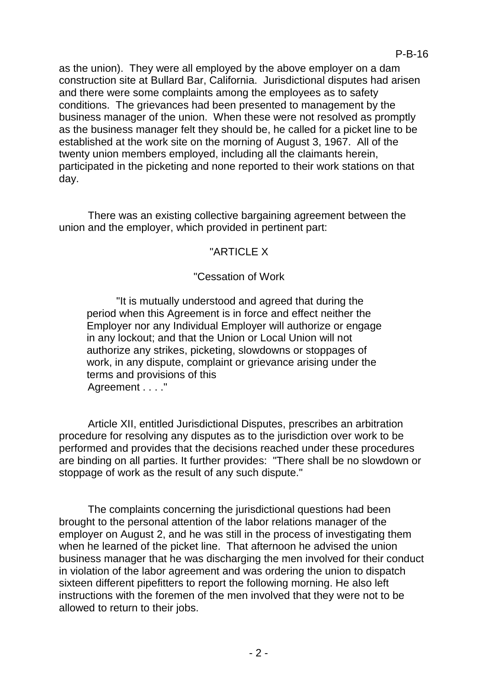as the union). They were all employed by the above employer on a dam construction site at Bullard Bar, California. Jurisdictional disputes had arisen and there were some complaints among the employees as to safety conditions. The grievances had been presented to management by the business manager of the union. When these were not resolved as promptly as the business manager felt they should be, he called for a picket line to be established at the work site on the morning of August 3, 1967. All of the twenty union members employed, including all the claimants herein, participated in the picketing and none reported to their work stations on that day.

There was an existing collective bargaining agreement between the union and the employer, which provided in pertinent part:

# "ARTICLE X

## "Cessation of Work

"It is mutually understood and agreed that during the period when this Agreement is in force and effect neither the Employer nor any Individual Employer will authorize or engage in any lockout; and that the Union or Local Union will not authorize any strikes, picketing, slowdowns or stoppages of work, in any dispute, complaint or grievance arising under the terms and provisions of this Agreement . . . . "

Article XII, entitled Jurisdictional Disputes, prescribes an arbitration procedure for resolving any disputes as to the jurisdiction over work to be performed and provides that the decisions reached under these procedures are binding on all parties. It further provides: "There shall be no slowdown or stoppage of work as the result of any such dispute."

The complaints concerning the jurisdictional questions had been brought to the personal attention of the labor relations manager of the employer on August 2, and he was still in the process of investigating them when he learned of the picket line. That afternoon he advised the union business manager that he was discharging the men involved for their conduct in violation of the labor agreement and was ordering the union to dispatch sixteen different pipefitters to report the following morning. He also left instructions with the foremen of the men involved that they were not to be allowed to return to their jobs.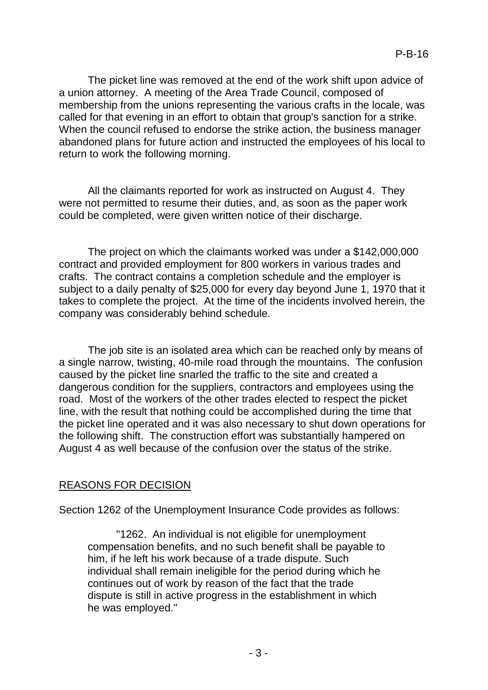The picket line was removed at the end of the work shift upon advice of a union attorney. A meeting of the Area Trade Council, composed of membership from the unions representing the various crafts in the locale, was called for that evening in an effort to obtain that group's sanction for a strike. When the council refused to endorse the strike action, the business manager abandoned plans for future action and instructed the employees of his local to return to work the following morning.

All the claimants reported for work as instructed on August 4. They were not permitted to resume their duties, and, as soon as the paper work could be completed, were given written notice of their discharge.

The project on which the claimants worked was under a \$142,000,000 contract and provided employment for 800 workers in various trades and crafts. The contract contains a completion schedule and the employer is subject to a daily penalty of \$25,000 for every day beyond June 1, 1970 that it takes to complete the project. At the time of the incidents involved herein, the company was considerably behind schedule.

The job site is an isolated area which can be reached only by means of a single narrow, twisting, 40-mile road through the mountains. The confusion caused by the picket line snarled the traffic to the site and created a dangerous condition for the suppliers, contractors and employees using the road. Most of the workers of the other trades elected to respect the picket line, with the result that nothing could be accomplished during the time that the picket line operated and it was also necessary to shut down operations for the following shift. The construction effort was substantially hampered on August 4 as well because of the confusion over the status of the strike.

# REASONS FOR DECISION

Section 1262 of the Unemployment Insurance Code provides as follows:

"1262. An individual is not eligible for unemployment compensation benefits, and no such benefit shall be payable to him, if he left his work because of a trade dispute. Such individual shall remain ineligible for the period during which he continues out of work by reason of the fact that the trade dispute is still in active progress in the establishment in which he was employed."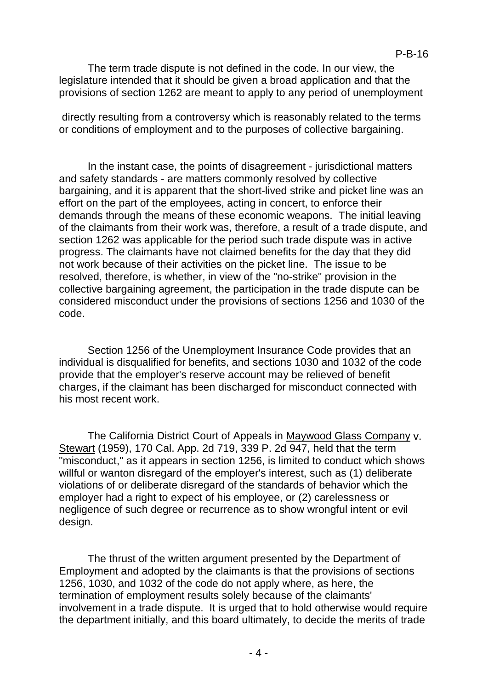The term trade dispute is not defined in the code. In our view, the legislature intended that it should be given a broad application and that the provisions of section 1262 are meant to apply to any period of unemployment

directly resulting from a controversy which is reasonably related to the terms or conditions of employment and to the purposes of collective bargaining.

In the instant case, the points of disagreement - jurisdictional matters and safety standards - are matters commonly resolved by collective bargaining, and it is apparent that the short-lived strike and picket line was an effort on the part of the employees, acting in concert, to enforce their demands through the means of these economic weapons. The initial leaving of the claimants from their work was, therefore, a result of a trade dispute, and section 1262 was applicable for the period such trade dispute was in active progress. The claimants have not claimed benefits for the day that they did not work because of their activities on the picket line. The issue to be resolved, therefore, is whether, in view of the "no-strike" provision in the collective bargaining agreement, the participation in the trade dispute can be considered misconduct under the provisions of sections 1256 and 1030 of the code.

Section 1256 of the Unemployment Insurance Code provides that an individual is disqualified for benefits, and sections 1030 and 1032 of the code provide that the employer's reserve account may be relieved of benefit charges, if the claimant has been discharged for misconduct connected with his most recent work.

The California District Court of Appeals in Maywood Glass Company v. Stewart (1959), 170 Cal. App. 2d 719, 339 P. 2d 947, held that the term "misconduct," as it appears in section 1256, is limited to conduct which shows willful or wanton disregard of the employer's interest, such as (1) deliberate violations of or deliberate disregard of the standards of behavior which the employer had a right to expect of his employee, or (2) carelessness or negligence of such degree or recurrence as to show wrongful intent or evil design.

The thrust of the written argument presented by the Department of Employment and adopted by the claimants is that the provisions of sections 1256, 1030, and 1032 of the code do not apply where, as here, the termination of employment results solely because of the claimants' involvement in a trade dispute. It is urged that to hold otherwise would require the department initially, and this board ultimately, to decide the merits of trade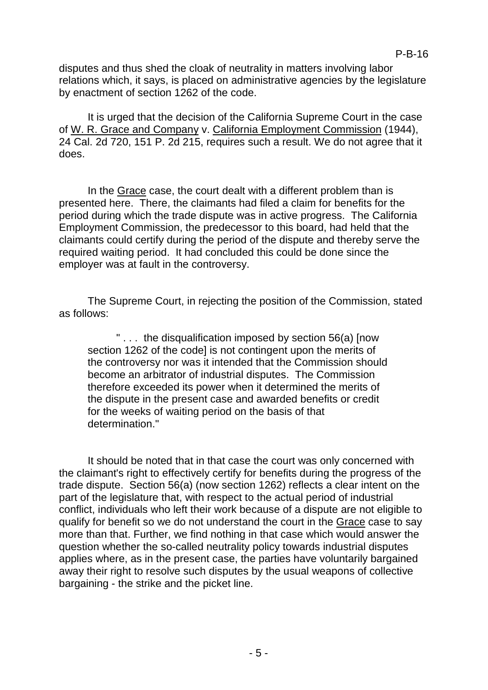disputes and thus shed the cloak of neutrality in matters involving labor relations which, it says, is placed on administrative agencies by the legislature by enactment of section 1262 of the code.

It is urged that the decision of the California Supreme Court in the case of W. R. Grace and Company v. California Employment Commission (1944), 24 Cal. 2d 720, 151 P. 2d 215, requires such a result. We do not agree that it does.

In the Grace case, the court dealt with a different problem than is presented here. There, the claimants had filed a claim for benefits for the period during which the trade dispute was in active progress. The California Employment Commission, the predecessor to this board, had held that the claimants could certify during the period of the dispute and thereby serve the required waiting period. It had concluded this could be done since the employer was at fault in the controversy.

The Supreme Court, in rejecting the position of the Commission, stated as follows:

" . . . the disqualification imposed by section 56(a) [now section 1262 of the code] is not contingent upon the merits of the controversy nor was it intended that the Commission should become an arbitrator of industrial disputes. The Commission therefore exceeded its power when it determined the merits of the dispute in the present case and awarded benefits or credit for the weeks of waiting period on the basis of that determination."

It should be noted that in that case the court was only concerned with the claimant's right to effectively certify for benefits during the progress of the trade dispute. Section 56(a) (now section 1262) reflects a clear intent on the part of the legislature that, with respect to the actual period of industrial conflict, individuals who left their work because of a dispute are not eligible to qualify for benefit so we do not understand the court in the Grace case to say more than that. Further, we find nothing in that case which would answer the question whether the so-called neutrality policy towards industrial disputes applies where, as in the present case, the parties have voluntarily bargained away their right to resolve such disputes by the usual weapons of collective bargaining - the strike and the picket line.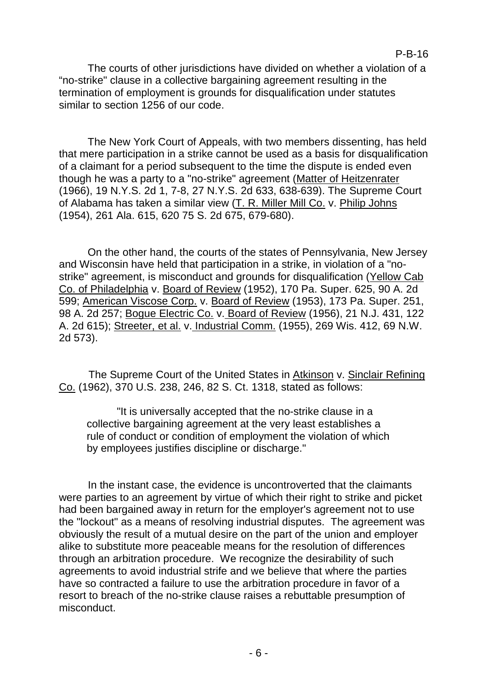The courts of other jurisdictions have divided on whether a violation of a "no-strike" clause in a collective bargaining agreement resulting in the termination of employment is grounds for disqualification under statutes similar to section 1256 of our code.

The New York Court of Appeals, with two members dissenting, has held that mere participation in a strike cannot be used as a basis for disqualification of a claimant for a period subsequent to the time the dispute is ended even though he was a party to a "no-strike" agreement (Matter of Heitzenrater (1966), 19 N.Y.S. 2d 1, 7-8, 27 N.Y.S. 2d 633, 638-639). The Supreme Court of Alabama has taken a similar view (T. R. Miller Mill Co. v. Philip Johns (1954), 261 Ala. 615, 620 75 S. 2d 675, 679-680).

On the other hand, the courts of the states of Pennsylvania, New Jersey and Wisconsin have held that participation in a strike, in violation of a "nostrike" agreement, is misconduct and grounds for disqualification (Yellow Cab Co. of Philadelphia v. Board of Review (1952), 170 Pa. Super. 625, 90 A. 2d 599; American Viscose Corp. v. Board of Review (1953), 173 Pa. Super. 251, 98 A. 2d 257; Bogue Electric Co. v. Board of Review (1956), 21 N.J. 431, 122 A. 2d 615); Streeter, et al. v. Industrial Comm. (1955), 269 Wis. 412, 69 N.W. 2d 573).

The Supreme Court of the United States in Atkinson v. Sinclair Refining Co. (1962), 370 U.S. 238, 246, 82 S. Ct. 1318, stated as follows:

"It is universally accepted that the no-strike clause in a collective bargaining agreement at the very least establishes a rule of conduct or condition of employment the violation of which by employees justifies discipline or discharge."

In the instant case, the evidence is uncontroverted that the claimants were parties to an agreement by virtue of which their right to strike and picket had been bargained away in return for the employer's agreement not to use the "lockout" as a means of resolving industrial disputes. The agreement was obviously the result of a mutual desire on the part of the union and employer alike to substitute more peaceable means for the resolution of differences through an arbitration procedure. We recognize the desirability of such agreements to avoid industrial strife and we believe that where the parties have so contracted a failure to use the arbitration procedure in favor of a resort to breach of the no-strike clause raises a rebuttable presumption of misconduct.